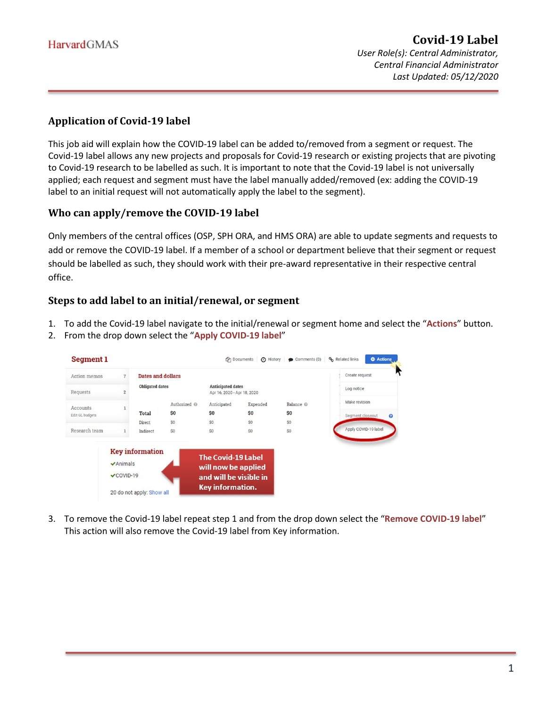*Last Updated: 05/12/2020*

### **Application of Covid-19 label**

This job aid will explain how the COVID-19 label can be added to/removed from a segment or request. The Covid-19 label allows any new projects and proposals for Covid-19 research or existing projects that are pivoting to Covid-19 research to be labelled as such. It is important to note that the Covid-19 label is not universally applied; each request and segment must have the label manually added/removed (ex: adding the COVID-19 label to an initial request will not automatically apply the label to the segment).

#### **Who can apply/remove the COVID-19 label**

Only members of the central offices (OSP, SPH ORA, and HMS ORA) are able to update segments and requests to add or remove the COVID-19 label. If a member of a school or department believe that their segment or request should be labelled as such, they should work with their pre-award representative in their respective central office.

#### **Steps to add label to an initial/renewal, or segment**

- 1. To add the Covid-19 label navigate to the initial/renewal or segment home and select the "**Actions**" button.
- 2. From the drop down select the "**Apply COVID-19 label**"

| <b>Segment 1</b> |                                                    |                                                     |              |                                                                                                | <b>C</b> <sup>n</sup> Documents | history Comments (0) | <b>D</b> Actions<br>% Related links |
|------------------|----------------------------------------------------|-----------------------------------------------------|--------------|------------------------------------------------------------------------------------------------|---------------------------------|----------------------|-------------------------------------|
| Action memos     |                                                    | <b>Dates and dollars</b>                            |              |                                                                                                |                                 |                      | Create request                      |
| Requests         |                                                    | <b>Obligated dates</b>                              |              | <b>Anticipated dates</b><br>Apr 16, 2020 - Apr 18, 2020                                        |                                 |                      | Log notice                          |
| Accounts         |                                                    |                                                     | Authorized @ | Anticipated                                                                                    | Expended                        | Balance @            | Make revision                       |
| Edit GL budgets  |                                                    | <b>Total</b>                                        | \$0          | \$0                                                                                            | \$0                             | \$0                  | Segment closeout<br>$\bullet$       |
|                  |                                                    | Direct                                              | \$0          | \$0                                                                                            | \$0                             | SO                   |                                     |
| Research team    |                                                    | Indirect                                            | \$0          | \$0                                                                                            | \$0                             | \$0                  | Apply COVID-19 label                |
|                  | $\blacktriangleright$ Animals<br>$\times$ COVID-19 | <b>Key information</b><br>20 do not apply: Show all |              | <b>The Covid-19 Label</b><br>will now be applied<br>and will be visible in<br>Key information. |                                 |                      |                                     |

3. To remove the Covid-19 label repeat step 1 and from the drop down select the "**Remove COVID-19 label**" This action will also remove the Covid-19 label from Key information.